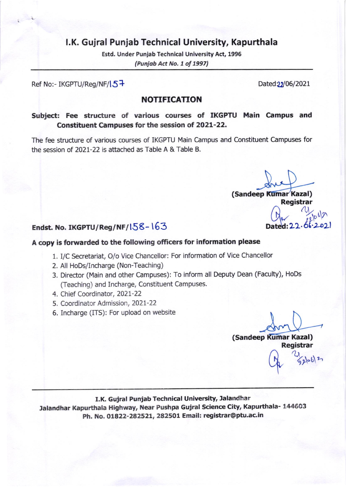# l.K. Gujral Punjab Technical University, Kapurthala

Estd. Under Punjab Technical University Act, 1996 (Punjab Act No. 1 of 1997)

#### Ref No:- IKGPTU/Reg/NF/ $\sqrt{5}$

# NOTIFICATION

## Subject: Fee structure of various courses of IKGPTU Main Campus and Constituent Campuses for the session ot 2O2L-22.

The fee structure of various courses of IKGPTU Main Campus and Constituent Campuses for the session of 202L-22 is attached as Table A & Table B.

(Sandeep Kumar Kazal) Registrar

# Endst. No. IKGPTU/Reg/NF/ $158-163$

### A copy is forwarded to the following officers for information please

- 1. I/C Secretariat, O/o Vice Chancellor: For information of Vice Chancellor
- 2. All HoDs/Incharge (Non-Teaching)
- 3. Director (Main and other Campuses): To inform all Deputy Dean (Faculty), HoDs (Teaching) and Incharge, Constituent Campuses.
- 4. Chief Coordinator, 2021-22
- 5. Coordinator Admission, 2021-22
- 6. Incharge (ITS): For upload on website

(Sandeep Kumar Kazal) Registrar

 $9062$ 

# I.K. Gujral Punjab Technical University, Jalandhar

lalandhar Kapurthala Highway, Near Pushpa Gujral science city, Kapurthala- 144603 Ph. No. O1822-28252L, 282501 Email: registrar@ptu.ac.in